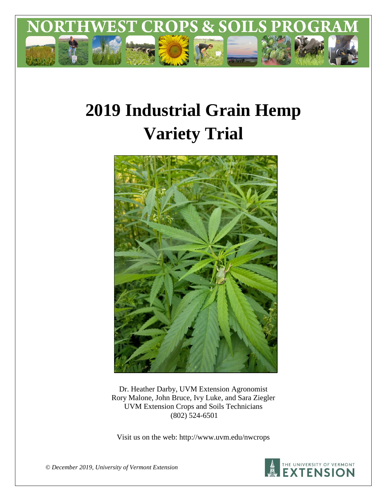

# **2019 Industrial Grain Hemp Variety Trial**



Dr. Heather Darby, UVM Extension Agronomist Rory Malone, John Bruce, Ivy Luke, and Sara Ziegler UVM Extension Crops and Soils Technicians (802) 524-6501

Visit us on the web: http://www.uvm.edu/nwcrops



*© December 2019, University of Vermont Extension*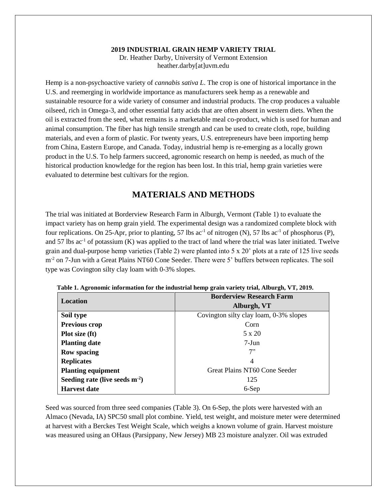#### **2019 INDUSTRIAL GRAIN HEMP VARIETY TRIAL** Dr. Heather Darby, University of Vermont Extension heather.darby[at]uvm.edu

Hemp is a non-psychoactive variety of *cannabis sativa L*. The crop is one of historical importance in the U.S. and reemerging in worldwide importance as manufacturers seek hemp as a renewable and sustainable resource for a wide variety of consumer and industrial products. The crop produces a valuable oilseed, rich in Omega-3, and other essential fatty acids that are often absent in western diets. When the oil is extracted from the seed, what remains is a marketable meal co-product, which is used for human and animal consumption. The fiber has high tensile strength and can be used to create cloth, rope, building materials, and even a form of plastic. For twenty years, U.S. entrepreneurs have been importing hemp from China, Eastern Europe, and Canada. Today, industrial hemp is re-emerging as a locally grown product in the U.S. To help farmers succeed, agronomic research on hemp is needed, as much of the historical production knowledge for the region has been lost. In this trial, hemp grain varieties were evaluated to determine best cultivars for the region.

# **MATERIALS AND METHODS**

The trial was initiated at Borderview Research Farm in Alburgh, Vermont (Table 1) to evaluate the impact variety has on hemp grain yield. The experimental design was a randomized complete block with four replications. On 25-Apr, prior to planting, 57 lbs  $ac^{-1}$  of nitrogen (N), 57 lbs  $ac^{-1}$  of phosphorus (P), and 57 lbs  $ac^{-1}$  of potassium (K) was applied to the tract of land where the trial was later initiated. Twelve grain and dual-purpose hemp varieties (Table 2) were planted into 5 x 20' plots at a rate of 125 live seeds m<sup>-2</sup> on 7-Jun with a Great Plains NT60 Cone Seeder. There were 5' buffers between replicates. The soil type was Covington silty clay loam with 0-3% slopes.

| Location                            | <b>Borderview Research Farm</b>        |  |  |
|-------------------------------------|----------------------------------------|--|--|
|                                     | Alburgh, VT                            |  |  |
| Soil type                           | Covington silty clay loam, 0-3% slopes |  |  |
| <b>Previous crop</b>                | Corn                                   |  |  |
| Plot size (ft)                      | 5 x 20                                 |  |  |
| <b>Planting date</b>                | 7-Jun                                  |  |  |
| <b>Row spacing</b>                  | 7"                                     |  |  |
| <b>Replicates</b>                   | 4                                      |  |  |
| <b>Planting equipment</b>           | Great Plains NT60 Cone Seeder          |  |  |
| Seeding rate (live seeds $m^{-2}$ ) | 125                                    |  |  |
| <b>Harvest date</b>                 | 6-Sep                                  |  |  |

**Table 1. Agronomic information for the industrial hemp grain variety trial, Alburgh, VT, 2019.**

Seed was sourced from three seed companies (Table 3). On 6-Sep, the plots were harvested with an Almaco (Nevada, IA) SPC50 small plot combine. Yield, test weight, and moisture meter were determined at harvest with a Berckes Test Weight Scale, which weighs a known volume of grain. Harvest moisture was measured using an OHaus (Parsippany, New Jersey) MB 23 moisture analyzer. Oil was extruded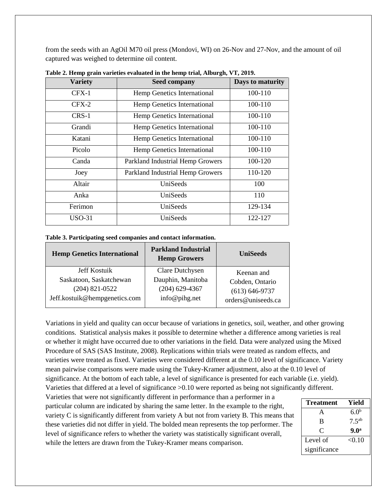from the seeds with an AgOil M70 oil press (Mondovi, WI) on 26-Nov and 27-Nov, and the amount of oil captured was weighed to determine oil content.

| <b>Variety</b> | <b>Seed company</b>              | Days to maturity |
|----------------|----------------------------------|------------------|
| $CFX-1$        | Hemp Genetics International      | 100-110          |
| $CFX-2$        | Hemp Genetics International      | 100-110          |
| $CRS-1$        | Hemp Genetics International      | 100-110          |
| Grandi         | Hemp Genetics International      | 100-110          |
| Katani         | Hemp Genetics International      | 100-110          |
| Picolo         | Hemp Genetics International      | 100-110          |
| Canda          | Parkland Industrial Hemp Growers | 100-120          |
| Joey           | Parkland Industrial Hemp Growers | 110-120          |
| Altair         | UniSeeds                         | 100              |
| Anka           | UniSeeds                         | 110              |
| Ferimon        | UniSeeds                         | 129-134          |
| $USO-31$       | UniSeeds                         | 122-127          |

**Table 2. Hemp grain varieties evaluated in the hemp trial, Alburgh, VT, 2019.**

| Table 3. Participating seed companies and contact information. |  |  |
|----------------------------------------------------------------|--|--|
|                                                                |  |  |

| <b>Hemp Genetics International</b> | <b>Parkland Industrial</b><br><b>Hemp Growers</b> | <b>UniSeeds</b>    |
|------------------------------------|---------------------------------------------------|--------------------|
| Jeff Kostuik                       | <b>Clare Dutchysen</b>                            | Keenan and         |
| Saskatoon, Saskatchewan            | Dauphin, Manitoba                                 | Cobden, Ontario    |
| $(204)$ 821-0522                   | $(204)$ 629-4367                                  | $(613) 646 - 9737$ |
| Jeff.kostuik@hempgenetics.com      | info@pihg.net                                     | orders@uniseeds.ca |

Variations in yield and quality can occur because of variations in genetics, soil, weather, and other growing conditions. Statistical analysis makes it possible to determine whether a difference among varieties is real or whether it might have occurred due to other variations in the field. Data were analyzed using the Mixed Procedure of SAS (SAS Institute, 2008). Replications within trials were treated as random effects, and varieties were treated as fixed. Varieties were considered different at the 0.10 level of significance. Variety mean pairwise comparisons were made using the Tukey-Kramer adjustment, also at the 0.10 level of significance. At the bottom of each table, a level of significance is presented for each variable (i.e. yield). Varieties that differed at a level of significance >0.10 were reported as being not significantly different.

Varieties that were not significantly different in performance than a performer in a particular column are indicated by sharing the same letter. In the example to the right, variety C is significantly different from variety A but not from variety B. This means that these varieties did not differ in yield. The bolded mean represents the top performer. The level of significance refers to whether the variety was statistically significant overall, while the letters are drawn from the Tukey-Kramer means comparison.

| Treatment    | Yield            |
|--------------|------------------|
| A            | 6.0 <sup>b</sup> |
| B            | $7.5^{ab}$       |
| $\mathsf{C}$ | 9.0 <sup>a</sup> |
| Level of     | < 0.10           |
| significance |                  |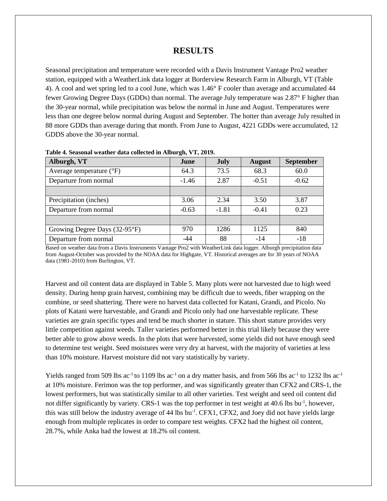### **RESULTS**

Seasonal precipitation and temperature were recorded with a Davis Instrument Vantage Pro2 weather station, equipped with a WeatherLink data logger at Borderview Research Farm in Alburgh, VT (Table 4). A cool and wet spring led to a cool June, which was 1.46° F cooler than average and accumulated 44 fewer Growing Degree Days (GDDs) than normal. The average July temperature was 2.87° F higher than the 30-year normal, while precipitation was below the normal in June and August. Temperatures were less than one degree below normal during August and September. The hotter than average July resulted in 88 more GDDs than average during that month. From June to August, 4221 GDDs were accumulated, 12 GDDS above the 30-year normal.

| Alburgh, VT                       | June    | <b>July</b> | <b>August</b> | <b>September</b> |
|-----------------------------------|---------|-------------|---------------|------------------|
| Average temperature $(^{\circ}F)$ | 64.3    | 73.5        | 68.3          | 60.0             |
| Departure from normal             | $-1.46$ | 2.87        | $-0.51$       | $-0.62$          |
|                                   |         |             |               |                  |
| Precipitation (inches)            | 3.06    | 2.34        | 3.50          | 3.87             |
| Departure from normal             | $-0.63$ | $-1.81$     | $-0.41$       | 0.23             |
|                                   |         |             |               |                  |
| Growing Degree Days (32-95°F)     | 970     | 1286        | 1125          | 840              |
| Departure from normal             | -44     | 88          | $-14$         | $-18$            |

**Table 4. Seasonal weather data collected in Alburgh, VT, 2019.**

Based on weather data from a Davis Instruments Vantage Pro2 with WeatherLink data logger. Alburgh precipitation data from August-October was provided by the NOAA data for Highgate, VT. Historical averages are for 30 years of NOAA data (1981-2010) from Burlington, VT.

Harvest and oil content data are displayed in Table 5. Many plots were not harvested due to high weed density. During hemp grain harvest, combining may be difficult due to weeds, fiber wrapping on the combine, or seed shattering. There were no harvest data collected for Katani, Grandi, and Picolo. No plots of Katani were harvestable, and Grandi and Picolo only had one harvestable replicate. These varieties are grain specific types and tend be much shorter in stature. This short stature provides very little competition against weeds. Taller varieties performed better in this trial likely because they were better able to grow above weeds. In the plots that were harvested, some yields did not have enough seed to determine test weight. Seed moistures were very dry at harvest, with the majority of varieties at less than 10% moisture. Harvest moisture did not vary statistically by variety.

Yields ranged from 509 lbs ac<sup>-1</sup> to 1109 lbs ac<sup>-1</sup> on a dry matter basis, and from 566 lbs ac<sup>-1</sup> to 1232 lbs ac<sup>-1</sup> at 10% moisture. Ferimon was the top performer, and was significantly greater than CFX2 and CRS-1, the lowest performers, but was statistically similar to all other varieties. Test weight and seed oil content did not differ significantly by variety. CRS-1 was the top performer in test weight at 40.6 lbs bu<sup>-1</sup>, however, this was still below the industry average of 44 lbs bu<sup>-1</sup>. CFX1, CFX2, and Joey did not have yields large enough from multiple replicates in order to compare test weights. CFX2 had the highest oil content, 28.7%, while Anka had the lowest at 18.2% oil content.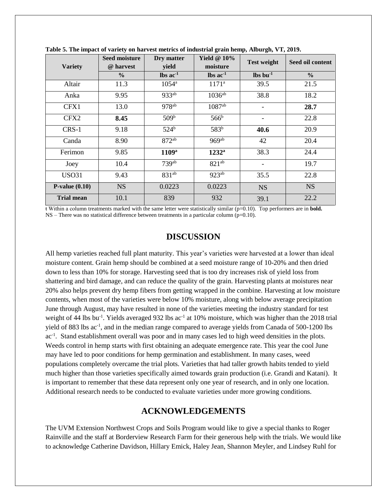| <b>Variety</b>    | <b>Seed moisture</b><br>@ harvest | Dry matter<br>yield           | Yield $@10\%$<br>moisture     | <b>Test weight</b>       | Seed oil content |
|-------------------|-----------------------------------|-------------------------------|-------------------------------|--------------------------|------------------|
|                   | $\frac{6}{9}$                     | $\text{lbs}$ ac <sup>-1</sup> | $\text{lbs}$ ac <sup>-1</sup> | $\ln b$ $\ln^{-1}$       | $\frac{6}{6}$    |
| Altair            | 11.3                              | $1054^{\rm a}$                | $1171^a$                      | 39.5                     | 21.5             |
| Anka              | 9.95                              | $933^{ab}$                    | $1036^{ab}$                   | 38.8                     | 18.2             |
| CFX1              | 13.0                              | $978^{ab}$                    | $1087$ <sup>ab</sup>          |                          | 28.7             |
| CFX2              | 8.45                              | 509 <sup>b</sup>              | 566 <sup>b</sup>              |                          | 22.8             |
| CRS-1             | 9.18                              | 524 <sup>b</sup>              | $\overline{583}^{b}$          | 40.6                     | 20.9             |
| Canda             | 8.90                              | $872^{ab}$                    | $969^{ab}$                    | 42                       | 20.4             |
| Ferimon           | 9.85                              | 1109 <sup>a</sup>             | $1232^{\mathrm{a}}$           | 38.3                     | 24.4             |
| Joey              | 10.4                              | 739 <sup>ab</sup>             | $821^{ab}$                    | $\overline{\phantom{a}}$ | 19.7             |
| <b>USO31</b>      | 9.43                              | $831^{ab}$                    | $923^{ab}$                    | 35.5                     | 22.8             |
| $P-value(0.10)$   | <b>NS</b>                         | 0.0223                        | 0.0223                        | <b>NS</b>                | <b>NS</b>        |
| <b>Trial mean</b> | 10.1                              | 839                           | 932                           | 39.1                     | 22.2             |

**Table 5. The impact of variety on harvest metrics of industrial grain hemp, Alburgh, VT, 2019.** 

ŧ Within a column treatments marked with the same letter were statistically similar (p=0.10). Top performers are in **bold.**  $NS$  – There was no statistical difference between treatments in a particular column ( $p=0.10$ ).

#### **DISCUSSION**

All hemp varieties reached full plant maturity. This year's varieties were harvested at a lower than ideal moisture content. Grain hemp should be combined at a seed moisture range of 10-20% and then dried down to less than 10% for storage. Harvesting seed that is too dry increases risk of yield loss from shattering and bird damage, and can reduce the quality of the grain. Harvesting plants at moistures near 20% also helps prevent dry hemp fibers from getting wrapped in the combine. Harvesting at low moisture contents, when most of the varieties were below 10% moisture, along with below average precipitation June through August, may have resulted in none of the varieties meeting the industry standard for test weight of 44 lbs bu<sup>-1</sup>. Yields averaged 932 lbs  $ac^{-1}$  at 10% moisture, which was higher than the 2018 trial yield of 883 lbs ac<sup>-1</sup>, and in the median range compared to average yields from Canada of 500-1200 lbs ac<sup>-1</sup>. Stand establishment overall was poor and in many cases led to high weed densities in the plots. Weeds control in hemp starts with first obtaining an adequate emergence rate. This year the cool June may have led to poor conditions for hemp germination and establishment. In many cases, weed populations completely overcame the trial plots. Varieties that had taller growth habits tended to yield much higher than those varieties specifically aimed towards grain production (i.e. Grandi and Katani). It is important to remember that these data represent only one year of research, and in only one location. Additional research needs to be conducted to evaluate varieties under more growing conditions.

## **ACKNOWLEDGEMENTS**

The UVM Extension Northwest Crops and Soils Program would like to give a special thanks to Roger Rainville and the staff at Borderview Research Farm for their generous help with the trials. We would like to acknowledge Catherine Davidson, Hillary Emick, Haley Jean, Shannon Meyler, and Lindsey Ruhl for